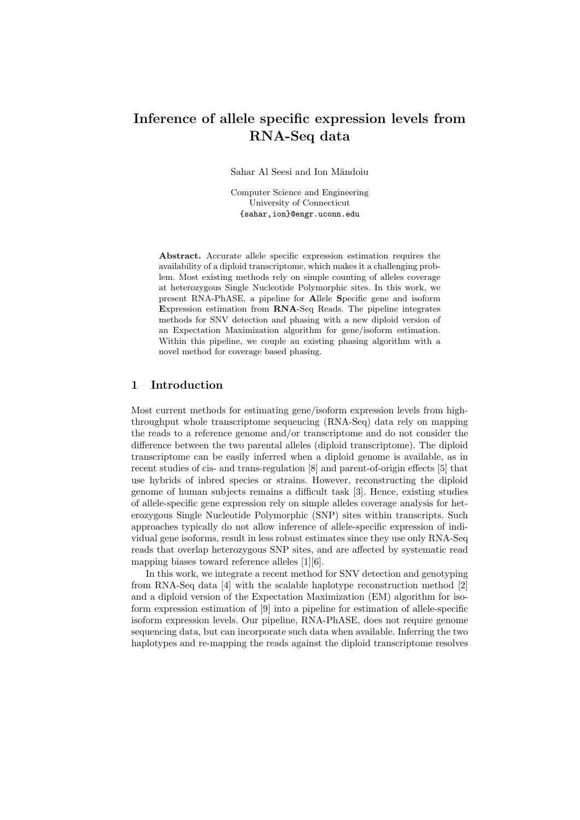# Inference of allele specific expression levels from RNA-Seq data

Sahar Al Seesi and Ion Măndoiu

Computer Science and Engineering University of Connecticut {sahar,ion}@engr.uconn.edu

Abstract. Accurate allele specific expression estimation requires the availability of a diploid transcriptome, which makes it a challenging problem. Most existing methods rely on simple counting of alleles coverage at heterozygous Single Nucleotide Polymorphic sites. In this work, we present RNA-PhASE, a pipeline for Allele Specific gene and isoform Expression estimation from RNA-Seq Reads. The pipeline integrates methods for SNV detection and phasing with a new diploid version of an Expectation Maximization algorithm for gene/isoform estimation. Within this pipeline, we couple an existing phasing algorithm with a novel method for coverage based phasing.

## 1 Introduction

Most current methods for estimating gene/isoform expression levels from highthroughput whole transcriptome sequencing (RNA-Seq) data rely on mapping the reads to a reference genome and/or transcriptome and do not consider the difference between the two parental alleles (diploid transcriptome). The diploid transcriptome can be easily inferred when a diploid genome is available, as in recent studies of cis- and trans-regulation [8] and parent-of-origin effects [5] that use hybrids of inbred species or strains. However, reconstructing the diploid genome of human subjects remains a difficult task [3]. Hence, existing studies of allele-specific gene expression rely on simple alleles coverage analysis for heterozygous Single Nucleotide Polymorphic (SNP) sites within transcripts. Such approaches typically do not allow inference of allele-specific expression of individual gene isoforms, result in less robust estimates since they use only RNA-Seq reads that overlap heterozygous SNP sites, and are affected by systematic read mapping biases toward reference alleles [1][6].

In this work, we integrate a recent method for SNV detection and genotyping from RNA-Seq data [4] with the scalable haplotype reconstruction method [2] and a diploid version of the Expectation Maximization (EM) algorithm for isoform expression estimation of [9] into a pipeline for estimation of allele-specific isoform expression levels. Our pipeline, RNA-PhASE, does not require genome sequencing data, but can incorporate such data when available. Inferring the two haplotypes and re-mapping the reads against the diploid transcriptome resolves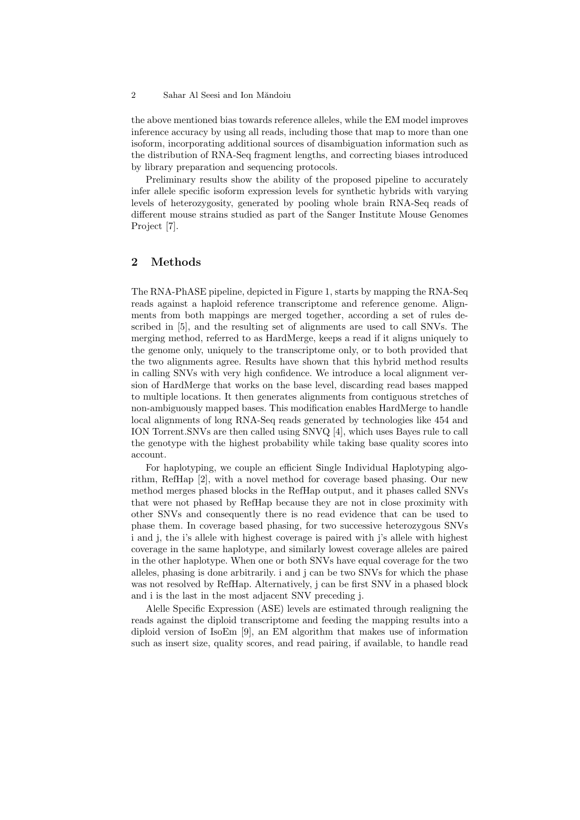#### 2 Sahar Al Seesi and Ion Măndoiu

the above mentioned bias towards reference alleles, while the EM model improves inference accuracy by using all reads, including those that map to more than one isoform, incorporating additional sources of disambiguation information such as the distribution of RNA-Seq fragment lengths, and correcting biases introduced by library preparation and sequencing protocols.

Preliminary results show the ability of the proposed pipeline to accurately infer allele specific isoform expression levels for synthetic hybrids with varying levels of heterozygosity, generated by pooling whole brain RNA-Seq reads of different mouse strains studied as part of the Sanger Institute Mouse Genomes Project [7].

## 2 Methods

The RNA-PhASE pipeline, depicted in Figure 1, starts by mapping the RNA-Seq reads against a haploid reference transcriptome and reference genome. Alignments from both mappings are merged together, according a set of rules described in [5], and the resulting set of alignments are used to call SNVs. The merging method, referred to as HardMerge, keeps a read if it aligns uniquely to the genome only, uniquely to the transcriptome only, or to both provided that the two alignments agree. Results have shown that this hybrid method results in calling SNVs with very high confidence. We introduce a local alignment version of HardMerge that works on the base level, discarding read bases mapped to multiple locations. It then generates alignments from contiguous stretches of non-ambiguously mapped bases. This modification enables HardMerge to handle local alignments of long RNA-Seq reads generated by technologies like 454 and ION Torrent.SNVs are then called using SNVQ [4], which uses Bayes rule to call the genotype with the highest probability while taking base quality scores into account.

For haplotyping, we couple an efficient Single Individual Haplotyping algorithm, RefHap [2], with a novel method for coverage based phasing. Our new method merges phased blocks in the RefHap output, and it phases called SNVs that were not phased by RefHap because they are not in close proximity with other SNVs and consequently there is no read evidence that can be used to phase them. In coverage based phasing, for two successive heterozygous SNVs i and j, the i's allele with highest coverage is paired with j's allele with highest coverage in the same haplotype, and similarly lowest coverage alleles are paired in the other haplotype. When one or both SNVs have equal coverage for the two alleles, phasing is done arbitrarily. i and j can be two SNVs for which the phase was not resolved by RefHap. Alternatively, j can be first SNV in a phased block and i is the last in the most adjacent SNV preceding j.

Alelle Specific Expression (ASE) levels are estimated through realigning the reads against the diploid transcriptome and feeding the mapping results into a diploid version of IsoEm [9], an EM algorithm that makes use of information such as insert size, quality scores, and read pairing, if available, to handle read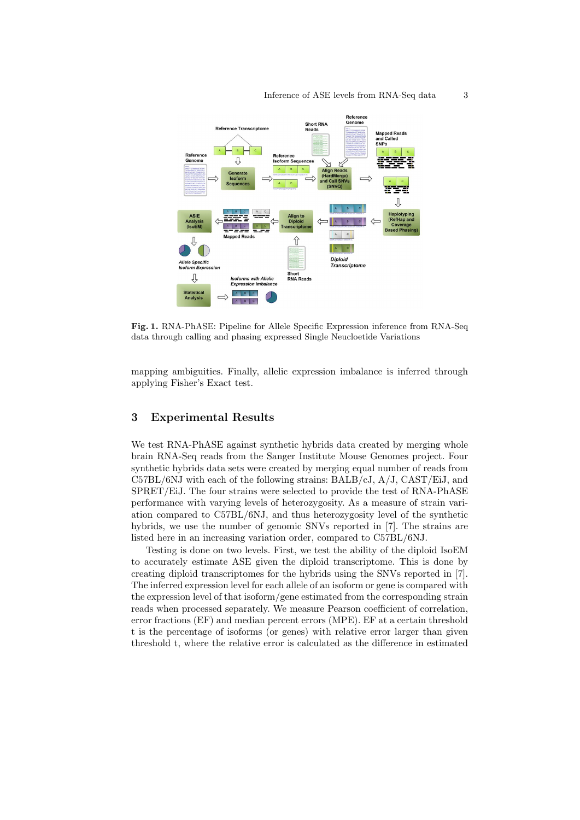

Fig. 1. RNA-PhASE: Pipeline for Allele Specific Expression inference from RNA-Seq data through calling and phasing expressed Single Neucloetide Variations

mapping ambiguities. Finally, allelic expression imbalance is inferred through applying Fisher's Exact test.

# 3 Experimental Results

We test RNA-PhASE against synthetic hybrids data created by merging whole brain RNA-Seq reads from the Sanger Institute Mouse Genomes project. Four synthetic hybrids data sets were created by merging equal number of reads from C57BL/6NJ with each of the following strains: BALB/cJ, A/J, CAST/EiJ, and SPRET/EiJ. The four strains were selected to provide the test of RNA-PhASE performance with varying levels of heterozygosity. As a measure of strain variation compared to C57BL/6NJ, and thus heterozygosity level of the synthetic hybrids, we use the number of genomic SNVs reported in [7]. The strains are listed here in an increasing variation order, compared to C57BL/6NJ.

Testing is done on two levels. First, we test the ability of the diploid IsoEM to accurately estimate ASE given the diploid transcriptome. This is done by creating diploid transcriptomes for the hybrids using the SNVs reported in [7]. The inferred expression level for each allele of an isoform or gene is compared with the expression level of that isoform/gene estimated from the corresponding strain reads when processed separately. We measure Pearson coefficient of correlation, error fractions (EF) and median percent errors (MPE). EF at a certain threshold t is the percentage of isoforms (or genes) with relative error larger than given threshold t, where the relative error is calculated as the difference in estimated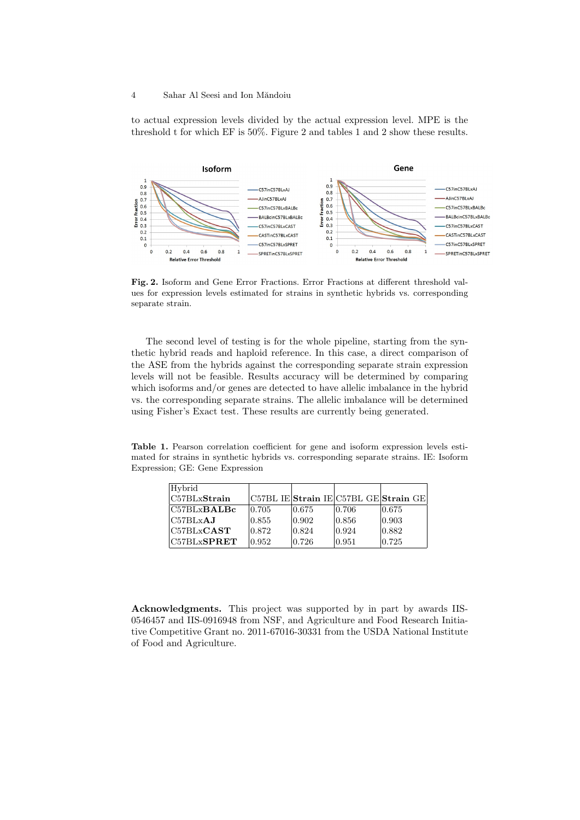#### 4 Sahar Al Seesi and Ion Măndoiu

to actual expression levels divided by the actual expression level. MPE is the threshold t for which EF is 50%. Figure 2 and tables 1 and 2 show these results.



Fig. 2. Isoform and Gene Error Fractions. Error Fractions at different threshold values for expression levels estimated for strains in synthetic hybrids vs. corresponding separate strain.

The second level of testing is for the whole pipeline, starting from the synthetic hybrid reads and haploid reference. In this case, a direct comparison of the ASE from the hybrids against the corresponding separate strain expression levels will not be feasible. Results accuracy will be determined by comparing which isoforms and/or genes are detected to have allelic imbalance in the hybrid vs. the corresponding separate strains. The allelic imbalance will be determined using Fisher's Exact test. These results are currently being generated.

Table 1. Pearson correlation coefficient for gene and isoform expression levels estimated for strains in synthetic hybrids vs. corresponding separate strains. IE: Isoform Expression; GE: Gene Expression

| Hybrid                           |        |                 |        |                                                       |
|----------------------------------|--------|-----------------|--------|-------------------------------------------------------|
| $\overline{\text{C57BLxStrain}}$ |        |                 |        | C57BL IE  <b>Strain</b> IE C57BL GE  <b>Strain</b> GE |
| $\rm IC57BLxBALBc$               | 10.705 | 0.675           | 10.706 | 0.675                                                 |
| $C57BLx$ <b>AJ</b>               | 0.855  | $ 0.902\rangle$ | 0.856  | 0.903                                                 |
| C57BLxCAST                       | 0.872  | 0.824           | 0.924  | 0.882                                                 |
| $ {\rm C57BLx} {\bf SPRET} $     | 0.952  | 0.726           | 0.951  | 0.725                                                 |

Acknowledgments. This project was supported by in part by awards IIS-0546457 and IIS-0916948 from NSF, and Agriculture and Food Research Initiative Competitive Grant no. 2011-67016-30331 from the USDA National Institute of Food and Agriculture.